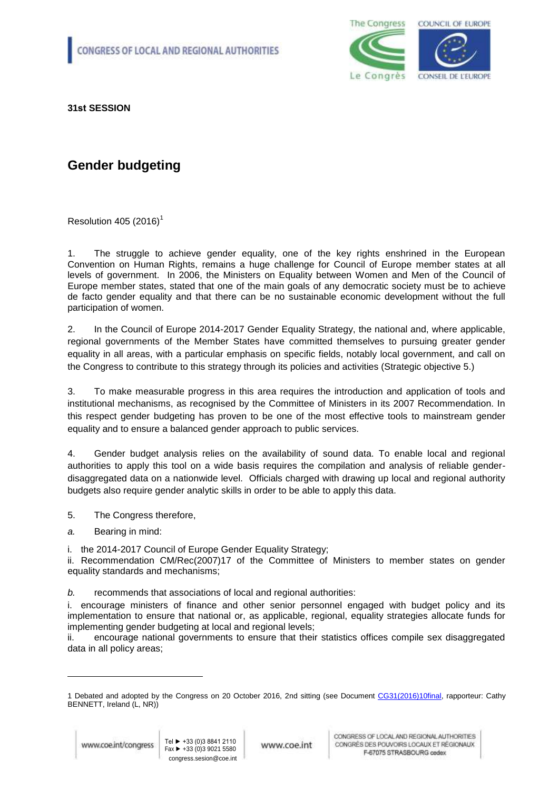

**31st SESSION**

## **Gender budgeting**

Resolution 405 (2016)<sup>1</sup>

1. The struggle to achieve gender equality, one of the key rights enshrined in the European Convention on Human Rights, remains a huge challenge for Council of Europe member states at all levels of government. In 2006, the Ministers on Equality between Women and Men of the Council of Europe member states, stated that one of the main goals of any democratic society must be to achieve de facto gender equality and that there can be no sustainable economic development without the full participation of women.

2. In the Council of Europe 2014-2017 Gender Equality Strategy, the national and, where applicable, regional governments of the Member States have committed themselves to pursuing greater gender equality in all areas, with a particular emphasis on specific fields, notably local government, and call on the Congress to contribute to this strategy through its policies and activities (Strategic objective 5.)

3. To make measurable progress in this area requires the introduction and application of tools and institutional mechanisms, as recognised by the Committee of Ministers in its 2007 Recommendation. In this respect gender budgeting has proven to be one of the most effective tools to mainstream gender equality and to ensure a balanced gender approach to public services.

4. Gender budget analysis relies on the availability of sound data. To enable local and regional authorities to apply this tool on a wide basis requires the compilation and analysis of reliable genderdisaggregated data on a nationwide level. Officials charged with drawing up local and regional authority budgets also require gender analytic skills in order to be able to apply this data.

5. The Congress therefore,

*a.* Bearing in mind:

i. the 2014-2017 Council of Europe Gender Equality Strategy;

ii. Recommendation CM/Rec(2007)17 of the Committee of Ministers to member states on gender equality standards and mechanisms;

*b.* recommends that associations of local and regional authorities:

i. encourage ministers of finance and other senior personnel engaged with budget policy and its implementation to ensure that national or, as applicable, regional, equality strategies allocate funds for implementing gender budgeting at local and regional levels;

ii. encourage national governments to ensure that their statistics offices compile sex disaggregated data in all policy areas;

1

www.coe.int

<sup>1</sup> Debated and adopted by the Congress on 20 October 2016, 2nd sitting (see Document [CG31\(2016\)10final,](https://wcd.coe.int/ViewDoc.jsp?p=&Ref=CG31(2016)10FINAL&Language=lanEnglish&Ver=original&Site=COE&BackColorInternet=C3C3C3&BackColorIntranet=CACC9A&BackColorLogged=EFEA9C&direct=true) rapporteur: Cathy BENNETT, Ireland (L, NR))